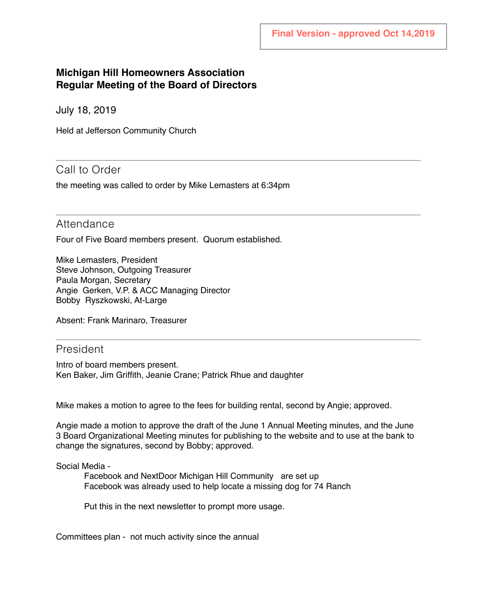## **Michigan Hill Homeowners Association Regular Meeting of the Board of Directors**

July 18, 2019

Held at Jefferson Community Church

## Call to Order

the meeting was called to order by Mike Lemasters at 6:34pm

## Attendance

Four of Five Board members present. Quorum established.

Mike Lemasters, President Steve Johnson, Outgoing Treasurer Paula Morgan, Secretary Angie Gerken, V.P. & ACC Managing Director Bobby Ryszkowski, At-Large

Absent: Frank Marinaro, Treasurer

## President

Intro of board members present. Ken Baker, Jim Griffith, Jeanie Crane; Patrick Rhue and daughter

Mike makes a motion to agree to the fees for building rental, second by Angie; approved.

Angie made a motion to approve the draft of the June 1 Annual Meeting minutes, and the June 3 Board Organizational Meeting minutes for publishing to the website and to use at the bank to change the signatures, second by Bobby; approved.

#### Social Media -

Facebook and NextDoor Michigan Hill Community are set up Facebook was already used to help locate a missing dog for 74 Ranch

Put this in the next newsletter to prompt more usage.

Committees plan - not much activity since the annual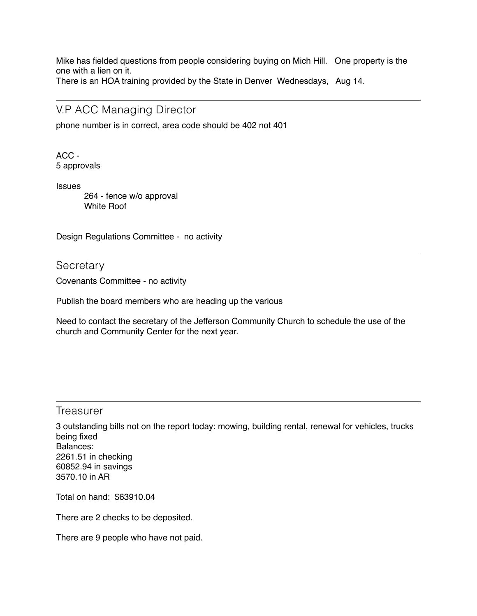Mike has fielded questions from people considering buying on Mich Hill. One property is the one with a lien on it.

There is an HOA training provided by the State in Denver Wednesdays, Aug 14.

## V.P ACC Managing Director

phone number is in correct, area code should be 402 not 401

ACC - 5 approvals

**Issues** 

 264 - fence w/o approval White Roof

Design Regulations Committee - no activity

**Secretary** 

Covenants Committee - no activity

Publish the board members who are heading up the various

Need to contact the secretary of the Jefferson Community Church to schedule the use of the church and Community Center for the next year.

### Treasurer

3 outstanding bills not on the report today: mowing, building rental, renewal for vehicles, trucks being fixed Balances: 2261.51 in checking 60852.94 in savings 3570.10 in AR

Total on hand: \$63910.04

There are 2 checks to be deposited.

There are 9 people who have not paid.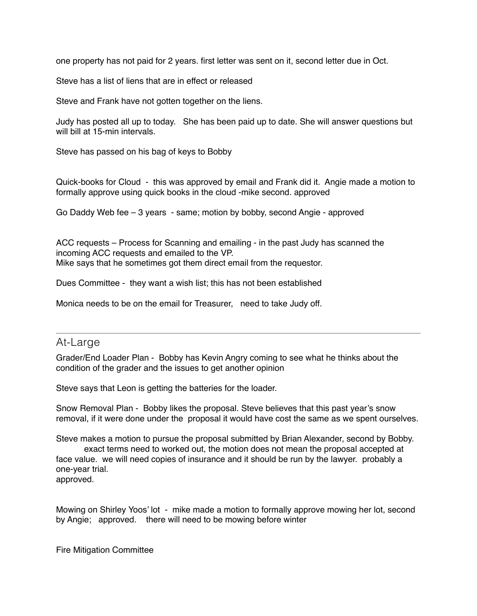one property has not paid for 2 years. first letter was sent on it, second letter due in Oct.

Steve has a list of liens that are in effect or released

Steve and Frank have not gotten together on the liens.

Judy has posted all up to today. She has been paid up to date. She will answer questions but will bill at 15-min intervals.

Steve has passed on his bag of keys to Bobby

Quick-books for Cloud - this was approved by email and Frank did it. Angie made a motion to formally approve using quick books in the cloud -mike second. approved

Go Daddy Web fee – 3 years - same; motion by bobby, second Angie - approved

ACC requests – Process for Scanning and emailing - in the past Judy has scanned the incoming ACC requests and emailed to the VP. Mike says that he sometimes got them direct email from the requestor.

Dues Committee - they want a wish list; this has not been established

Monica needs to be on the email for Treasurer, need to take Judy off.

## At-Large

Grader/End Loader Plan - Bobby has Kevin Angry coming to see what he thinks about the condition of the grader and the issues to get another opinion

Steve says that Leon is getting the batteries for the loader.

Snow Removal Plan - Bobby likes the proposal. Steve believes that this past year's snow removal, if it were done under the proposal it would have cost the same as we spent ourselves.

Steve makes a motion to pursue the proposal submitted by Brian Alexander, second by Bobby. exact terms need to worked out, the motion does not mean the proposal accepted at

face value. we will need copies of insurance and it should be run by the lawyer. probably a one-year trial.

approved.

Mowing on Shirley Yoos' lot - mike made a motion to formally approve mowing her lot, second by Angie; approved. there will need to be mowing before winter

Fire Mitigation Committee